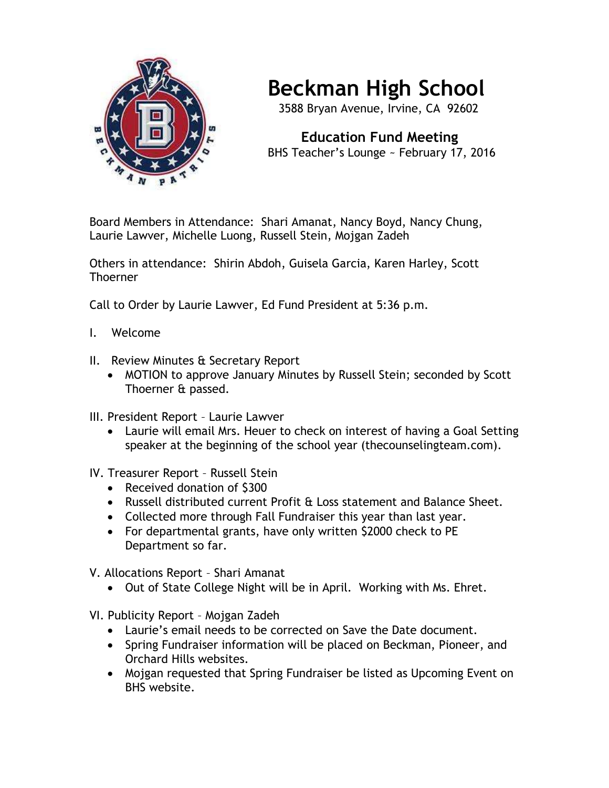

## **Beckman High School**

3588 Bryan Avenue, Irvine, CA 92602

 **Education Fund Meeting** BHS Teacher's Lounge ~ February 17, 2016

Board Members in Attendance: Shari Amanat, Nancy Boyd, Nancy Chung, Laurie Lawver, Michelle Luong, Russell Stein, Mojgan Zadeh

Others in attendance: Shirin Abdoh, Guisela Garcia, Karen Harley, Scott Thoerner

Call to Order by Laurie Lawver, Ed Fund President at 5:36 p.m.

- I. Welcome
- II. Review Minutes & Secretary Report
	- MOTION to approve January Minutes by Russell Stein; seconded by Scott Thoerner & passed.
- III. President Report Laurie Lawver
	- Laurie will email Mrs. Heuer to check on interest of having a Goal Setting speaker at the beginning of the school year (thecounselingteam.com).
- IV. Treasurer Report Russell Stein
	- Received donation of \$300
	- Russell distributed current Profit & Loss statement and Balance Sheet.
	- Collected more through Fall Fundraiser this year than last year.
	- For departmental grants, have only written \$2000 check to PE Department so far.
- V. Allocations Report Shari Amanat
	- Out of State College Night will be in April. Working with Ms. Ehret.
- VI. Publicity Report Mojgan Zadeh
	- Laurie's email needs to be corrected on Save the Date document.
	- Spring Fundraiser information will be placed on Beckman, Pioneer, and Orchard Hills websites.
	- Mojgan requested that Spring Fundraiser be listed as Upcoming Event on BHS website.